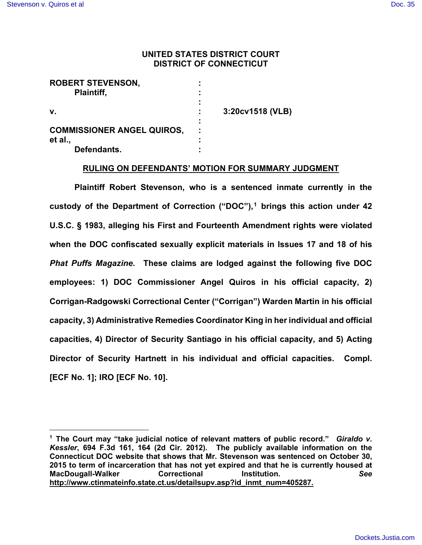## **UNITED STATES DISTRICT COURT DISTRICT OF CONNECTICUT**

| <b>ROBERT STEVENSON,</b>          |                  |
|-----------------------------------|------------------|
| Plaintiff,                        |                  |
|                                   |                  |
| V.                                | 3:20cv1518 (VLB) |
|                                   |                  |
| <b>COMMISSIONER ANGEL QUIROS,</b> |                  |
| et al.,                           |                  |
| Defendants.                       |                  |

## **RULING ON DEFENDANTS' MOTION FOR SUMMARY JUDGMENT**

 **Plaintiff Robert Stevenson, who is a sentenced inmate currently in the custody of the Department of Correction ("DOC"), [1](#page-0-0) brings this action under 42 U.S.C. § 1983, alleging his First and Fourteenth Amendment rights were violated when the DOC confiscated sexually explicit materials in Issues 17 and 18 of his**  *Phat Puffs Magazine***. These claims are lodged against the following five DOC employees: 1) DOC Commissioner Angel Quiros in his official capacity, 2) Corrigan-Radgowski Correctional Center ("Corrigan") Warden Martin in his official capacity, 3) Administrative Remedies Coordinator King in her individual and official capacities, 4) Director of Security Santiago in his official capacity, and 5) Acting Director of Security Hartnett in his individual and official capacities. Compl. [ECF No. 1]; IRO [ECF No. 10].** 

<span id="page-0-0"></span>**<sup>1</sup> The Court may "take judicial notice of relevant matters of public record."** *Giraldo v. Kessler***, 694 F.3d 161, 164 (2d Cir. 2012). The publicly available information on the Connecticut DOC website that shows that Mr. Stevenson was sentenced on October 30, 2015 to term of incarceration that has not yet expired and that he is currently housed at MacDougall-Walker Correctional Institution.** *See*  **[http://www.ctinmateinfo.state.ct.us/detailsupv.asp?id\\_inmt\\_num=405287.](http://www.ctinmateinfo.state.ct.us/detailsupv.asp?id_inmt_num=405287)**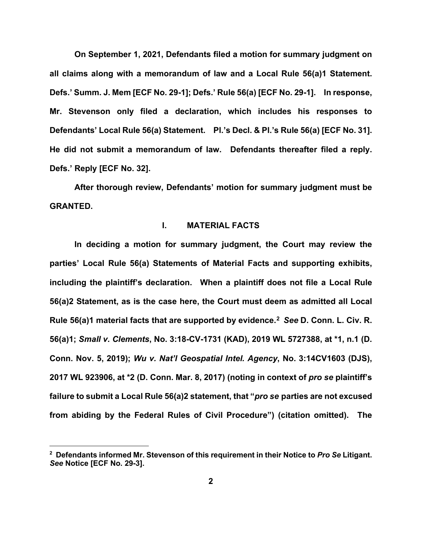**On September 1, 2021, Defendants filed a motion for summary judgment on all claims along with a memorandum of law and a Local Rule 56(a)1 Statement. Defs.' Summ. J. Mem [ECF No. 29-1]; Defs.' Rule 56(a) [ECF No. 29-1]. In response, Mr. Stevenson only filed a declaration, which includes his responses to Defendants' Local Rule 56(a) Statement. Pl.'s Decl. & Pl.'s Rule 56(a) [ECF No. 31]. He did not submit a memorandum of law. Defendants thereafter filed a reply. Defs.' Reply [ECF No. 32].** 

**After thorough review, Defendants' motion for summary judgment must be GRANTED.** 

### **I. MATERIAL FACTS**

**In deciding a motion for summary judgment, the Court may review the parties' Local Rule 56(a) Statements of Material Facts and supporting exhibits, including the plaintiff's declaration. When a plaintiff does not file a Local Rule 56(a)2 Statement, as is the case here, the Court must deem as admitted all Local Rule 56(a)1 material facts that are supported by evidence.[2](#page-1-0)** *See* **D. Conn. L. Civ. R. 56(a)1;** *Small v. Clements***, No. 3:18-CV-1731 (KAD), 2019 WL 5727388, at \*1, n.1 (D. Conn. Nov. 5, 2019);** *Wu v. Nat'l Geospatial Intel. Agency***, No. 3:14CV1603 (DJS), 2017 WL 923906, at \*2 (D. Conn. Mar. 8, 2017) (noting in context of** *pro se* **plaintiff's failure to submit a Local Rule 56(a)2 statement, that "***pro se* **parties are not excused from abiding by the Federal Rules of Civil Procedure") (citation omitted). The** 

<span id="page-1-0"></span>**<sup>2</sup> Defendants informed Mr. Stevenson of this requirement in their Notice to** *Pro Se* **Litigant.**  *See* **Notice [ECF No. 29-3].**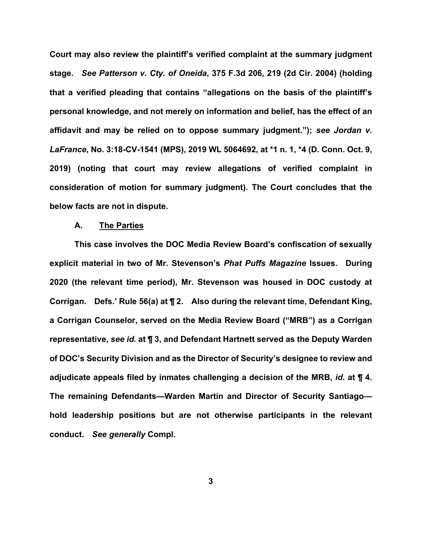**Court may also review the plaintiff's verified complaint at the summary judgment stage.** *See Patterson v. Cty. of Oneida***, 375 F.3d 206, 219 (2d Cir. 2004) (holding that a verified pleading that contains "allegations on the basis of the plaintiff's personal knowledge, and not merely on information and belief, has the effect of an affidavit and may be relied on to oppose summary judgment.");** *see Jordan v. LaFrance***, No. 3:18-CV-1541 (MPS), 2019 WL 5064692, at \*1 n. 1, \*4 (D. Conn. Oct. 9, 2019) (noting that court may review allegations of verified complaint in consideration of motion for summary judgment). The Court concludes that the below facts are not in dispute.** 

#### **A. The Parties**

**This case involves the DOC Media Review Board's confiscation of sexually explicit material in two of Mr. Stevenson's** *Phat Puffs Magazine* **Issues. During 2020 (the relevant time period), Mr. Stevenson was housed in DOC custody at Corrigan. Defs.' Rule 56(a) at ¶ 2. Also during the relevant time, Defendant King, a Corrigan Counselor, served on the Media Review Board ("MRB") as a Corrigan representative,** *see id.* **at ¶ 3, and Defendant Hartnett served as the Deputy Warden of DOC's Security Division and as the Director of Security's designee to review and adjudicate appeals filed by inmates challenging a decision of the MRB,** *id.* **at ¶ 4. The remaining Defendants—Warden Martin and Director of Security Santiago hold leadership positions but are not otherwise participants in the relevant conduct.** *See generally* **Compl.**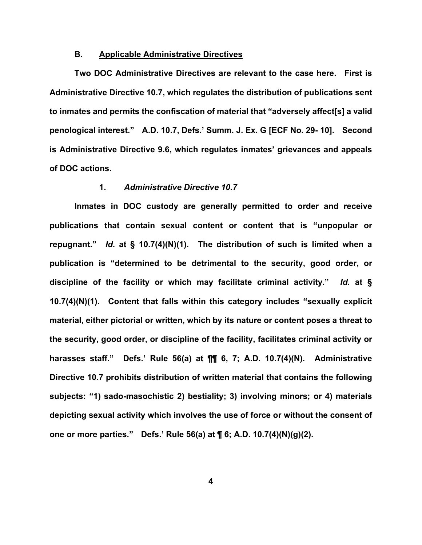## **B. Applicable Administrative Directives**

 **Two DOC Administrative Directives are relevant to the case here. First is Administrative Directive 10.7, which regulates the distribution of publications sent to inmates and permits the confiscation of material that "adversely affect[s] a valid penological interest." A.D. 10.7, Defs.' Summ. J. Ex. G [ECF No. 29- 10]. Second is Administrative Directive 9.6, which regulates inmates' grievances and appeals of DOC actions.** 

### **1.** *Administrative Directive 10.7*

**Inmates in DOC custody are generally permitted to order and receive publications that contain sexual content or content that is "unpopular or repugnant."** *Id.* **at § 10.7(4)(N)(1). The distribution of such is limited when a publication is "determined to be detrimental to the security, good order, or discipline of the facility or which may facilitate criminal activity."** *Id.* **at § 10.7(4)(N)(1). Content that falls within this category includes "sexually explicit material, either pictorial or written, which by its nature or content poses a threat to the security, good order, or discipline of the facility, facilitates criminal activity or harasses staff." Defs.' Rule 56(a) at ¶¶ 6, 7; A.D. 10.7(4)(N). Administrative Directive 10.7 prohibits distribution of written material that contains the following subjects: "1) sado-masochistic 2) bestiality; 3) involving minors; or 4) materials depicting sexual activity which involves the use of force or without the consent of one or more parties." Defs.' Rule 56(a) at ¶ 6; A.D. 10.7(4)(N)(g)(2).**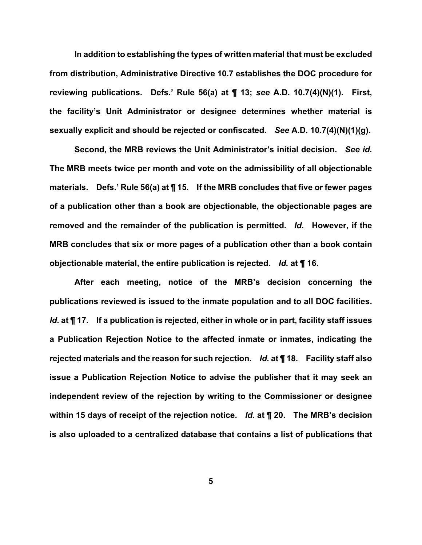**In addition to establishing the types of written material that must be excluded from distribution, Administrative Directive 10.7 establishes the DOC procedure for reviewing publications. Defs.' Rule 56(a) at ¶ 13;** *see* **A.D. 10.7(4)(N)(1). First, the facility's Unit Administrator or designee determines whether material is sexually explicit and should be rejected or confiscated.** *See* **A.D. 10.7(4)(N)(1)(g).** 

**Second, the MRB reviews the Unit Administrator's initial decision.** *See id.*  **The MRB meets twice per month and vote on the admissibility of all objectionable materials. Defs.' Rule 56(a) at ¶ 15. If the MRB concludes that five or fewer pages of a publication other than a book are objectionable, the objectionable pages are removed and the remainder of the publication is permitted.** *Id.* **However, if the MRB concludes that six or more pages of a publication other than a book contain objectionable material, the entire publication is rejected.** *Id.* **at ¶ 16.** 

**After each meeting, notice of the MRB's decision concerning the publications reviewed is issued to the inmate population and to all DOC facilities.**  *Id.* **at ¶ 17. If a publication is rejected, either in whole or in part, facility staff issues a Publication Rejection Notice to the affected inmate or inmates, indicating the rejected materials and the reason for such rejection.** *Id.* **at ¶ 18. Facility staff also issue a Publication Rejection Notice to advise the publisher that it may seek an independent review of the rejection by writing to the Commissioner or designee within 15 days of receipt of the rejection notice.** *Id.* **at ¶ 20. The MRB's decision is also uploaded to a centralized database that contains a list of publications that**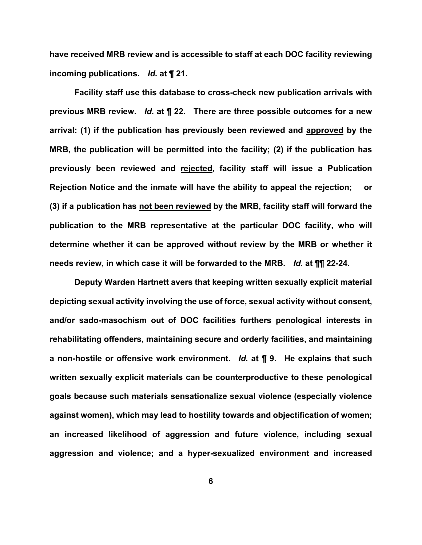**have received MRB review and is accessible to staff at each DOC facility reviewing incoming publications.** *Id.* **at ¶ 21.** 

 **Facility staff use this database to cross-check new publication arrivals with previous MRB review.** *Id.* **at ¶ 22. There are three possible outcomes for a new arrival: (1) if the publication has previously been reviewed and approved by the MRB, the publication will be permitted into the facility; (2) if the publication has previously been reviewed and rejected, facility staff will issue a Publication Rejection Notice and the inmate will have the ability to appeal the rejection; or (3) if a publication has not been reviewed by the MRB, facility staff will forward the publication to the MRB representative at the particular DOC facility, who will determine whether it can be approved without review by the MRB or whether it needs review, in which case it will be forwarded to the MRB.** *Id.* **at ¶¶ 22-24.**

**Deputy Warden Hartnett avers that keeping written sexually explicit material depicting sexual activity involving the use of force, sexual activity without consent, and/or sado-masochism out of DOC facilities furthers penological interests in rehabilitating offenders, maintaining secure and orderly facilities, and maintaining a non-hostile or offensive work environment.** *Id.* **at ¶ 9. He explains that such written sexually explicit materials can be counterproductive to these penological goals because such materials sensationalize sexual violence (especially violence against women), which may lead to hostility towards and objectification of women; an increased likelihood of aggression and future violence, including sexual aggression and violence; and a hyper-sexualized environment and increased**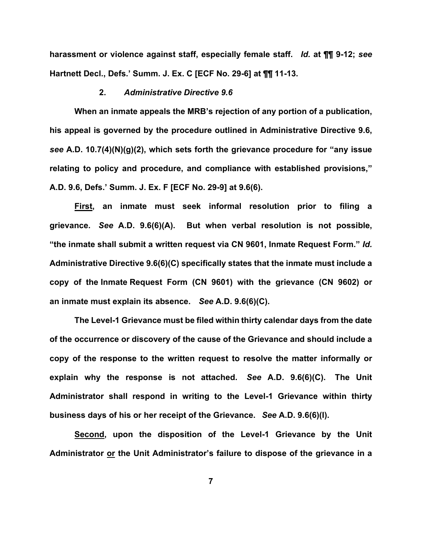**harassment or violence against staff, especially female staff.** *Id.* **at ¶¶ 9-12;** *see* **Hartnett Decl., Defs.' Summ. J. Ex. C [ECF No. 29-6] at ¶¶ 11-13.**

### **2.** *Administrative Directive 9.6*

**When an inmate appeals the MRB's rejection of any portion of a publication, his appeal is governed by the procedure outlined in Administrative Directive 9.6,**  *see* **A.D. 10.7(4)(N)(g)(2), which sets forth the grievance procedure for "any issue relating to policy and procedure, and compliance with established provisions," A.D. 9.6, Defs.' Summ. J. Ex. F [ECF No. 29-9] at 9.6(6).** 

**First, an inmate must seek informal resolution prior to filing a grievance.** *See* **A.D. 9.6(6)(A). But when verbal resolution is not possible, "the inmate shall submit a written request via CN 9601, Inmate Request Form."** *Id.*  **Administrative Directive 9.6(6)(C) specifically states that the inmate must include a copy of the Inmate Request Form (CN 9601) with the grievance (CN 9602) or an inmate must explain its absence.** *See* **A.D. 9.6(6)(C).**

**The Level-1 Grievance must be filed within thirty calendar days from the date of the occurrence or discovery of the cause of the Grievance and should include a copy of the response to the written request to resolve the matter informally or explain why the response is not attached.** *See* **A.D. 9.6(6)(C). The Unit Administrator shall respond in writing to the Level-1 Grievance within thirty business days of his or her receipt of the Grievance.** *See* **A.D. 9.6(6)(I).**

**Second, upon the disposition of the Level-1 Grievance by the Unit Administrator or the Unit Administrator's failure to dispose of the grievance in a**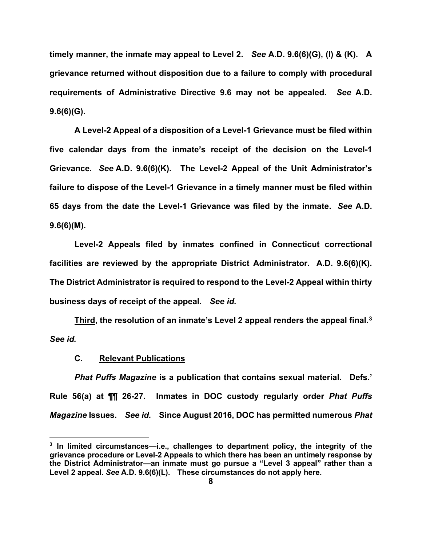**timely manner, the inmate may appeal to Level 2.** *See* **A.D. 9.6(6)(G), (I) & (K). A grievance returned without disposition due to a failure to comply with procedural requirements of Administrative Directive 9.6 may not be appealed.** *See* **A.D. 9.6(6)(G).** 

**A Level-2 Appeal of a disposition of a Level-1 Grievance must be filed within five calendar days from the inmate's receipt of the decision on the Level-1 Grievance.** *See* **A.D. 9.6(6)(K). The Level-2 Appeal of the Unit Administrator's failure to dispose of the Level-1 Grievance in a timely manner must be filed within 65 days from the date the Level-1 Grievance was filed by the inmate.** *See* **A.D. 9.6(6)(M).**

**Level-2 Appeals filed by inmates confined in Connecticut correctional facilities are reviewed by the appropriate District Administrator. A.D. 9.6(6)(K). The District Administrator is required to respond to the Level-2 Appeal within thirty business days of receipt of the appeal.** *See id.*

**Third, the resolution of an inmate's Level 2 appeal renders the appeal final.[3](#page-7-0)**  *See id.*

#### **C. Relevant Publications**

*Phat Puffs Magazine* **is a publication that contains sexual material. Defs.' Rule 56(a) at ¶¶ 26-27. Inmates in DOC custody regularly order** *Phat Puffs Magazine* **Issues.** *See id.* **Since August 2016, DOC has permitted numerous** *Phat* 

<span id="page-7-0"></span>**<sup>3</sup> In limited circumstances—i.e., challenges to department policy, the integrity of the grievance procedure or Level-2 Appeals to which there has been an untimely response by the District Administrator—an inmate must go pursue a "Level 3 appeal" rather than a Level 2 appeal.** *See* **A.D. 9.6(6)(L). These circumstances do not apply here.**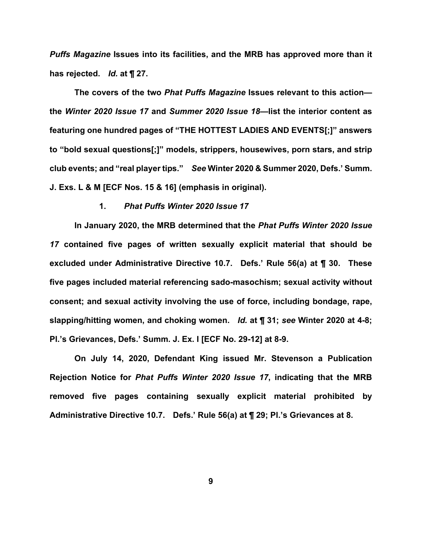*Puffs Magazine* **Issues into its facilities, and the MRB has approved more than it has rejected.** *Id.* **at ¶ 27.** 

**The covers of the two** *Phat Puffs Magazine* **Issues relevant to this action the** *Winter 2020 Issue 17* **and** *Summer 2020 Issue 18—***list the interior content as featuring one hundred pages of "THE HOTTEST LADIES AND EVENTS[;]" answers to "bold sexual questions[;]" models, strippers, housewives, porn stars, and strip club events; and "real player tips."** *See* **Winter 2020 & Summer 2020, Defs.' Summ. J. Exs. L & M [ECF Nos. 15 & 16] (emphasis in original).** 

## **1.** *Phat Puffs Winter 2020 Issue 17*

**In January 2020, the MRB determined that the** *Phat Puffs Winter 2020 Issue 17* **contained five pages of written sexually explicit material that should be excluded under Administrative Directive 10.7. Defs.' Rule 56(a) at ¶ 30. These five pages included material referencing sado-masochism; sexual activity without consent; and sexual activity involving the use of force, including bondage, rape, slapping/hitting women, and choking women.** *Id.* **at ¶ 31;** *see* **Winter 2020 at 4-8; Pl.'s Grievances, Defs.' Summ. J. Ex. I [ECF No. 29-12] at 8-9.** 

**On July 14, 2020, Defendant King issued Mr. Stevenson a Publication Rejection Notice for** *Phat Puffs Winter 2020 Issue 17***, indicating that the MRB removed five pages containing sexually explicit material prohibited by Administrative Directive 10.7. Defs.' Rule 56(a) at ¶ 29; Pl.'s Grievances at 8.**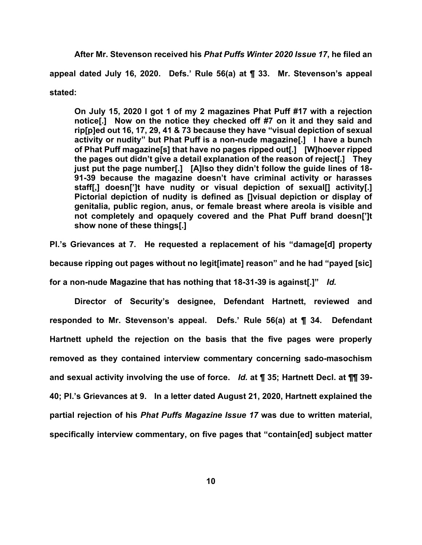**After Mr. Stevenson received his** *Phat Puffs Winter 2020 Issue 17***, he filed an appeal dated July 16, 2020. Defs.' Rule 56(a) at ¶ 33. Mr. Stevenson's appeal stated:**

**On July 15, 2020 I got 1 of my 2 magazines Phat Puff #17 with a rejection notice[.] Now on the notice they checked off #7 on it and they said and rip[p]ed out 16, 17, 29, 41 & 73 because they have "visual depiction of sexual activity or nudity" but Phat Puff is a non-nude magazine[.] I have a bunch of Phat Puff magazine[s] that have no pages ripped out[.] [W]hoever ripped the pages out didn't give a detail explanation of the reason of reject[.] They just put the page number[.] [A]lso they didn't follow the guide lines of 18- 91-39 because the magazine doesn't have criminal activity or harasses staff[,] doesn[']t have nudity or visual depiction of sexual[] activity[.] Pictorial depiction of nudity is defined as []visual depiction or display of genitalia, public region, anus, or female breast where areola is visible and not completely and opaquely covered and the Phat Puff brand doesn[']t show none of these things[.]** 

**Pl.'s Grievances at 7. He requested a replacement of his "damage[d] property because ripping out pages without no legit[imate] reason" and he had "payed [sic] for a non-nude Magazine that has nothing that 18-31-39 is against[.]"** *Id.*

**Director of Security's designee, Defendant Hartnett, reviewed and responded to Mr. Stevenson's appeal. Defs.' Rule 56(a) at ¶ 34. Defendant Hartnett upheld the rejection on the basis that the five pages were properly removed as they contained interview commentary concerning sado-masochism and sexual activity involving the use of force.** *Id.* **at ¶ 35; Hartnett Decl. at ¶¶ 39- 40; Pl.'s Grievances at 9. In a letter dated August 21, 2020, Hartnett explained the partial rejection of his** *Phat Puffs Magazine Issue 17* **was due to written material, specifically interview commentary, on five pages that "contain[ed] subject matter**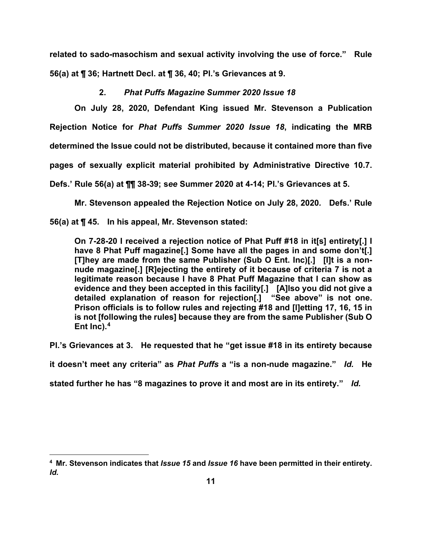**related to sado-masochism and sexual activity involving the use of force." Rule 56(a) at ¶ 36; Hartnett Decl. at ¶ 36, 40; Pl.'s Grievances at 9.** 

# **2.** *Phat Puffs Magazine Summer 2020 Issue 18*

**On July 28, 2020, Defendant King issued Mr. Stevenson a Publication Rejection Notice for** *Phat Puffs Summer 2020 Issue 18***, indicating the MRB determined the Issue could not be distributed, because it contained more than five pages of sexually explicit material prohibited by Administrative Directive 10.7. Defs.' Rule 56(a) at ¶¶ 38-39; s***ee* **Summer 2020 at 4-14; Pl.'s Grievances at 5.** 

**Mr. Stevenson appealed the Rejection Notice on July 28, 2020***.* **Defs.' Rule 56(a) at ¶ 45. In his appeal, Mr. Stevenson stated:**

**On 7-28-20 I received a rejection notice of Phat Puff #18 in it[s] entirety[.] I have 8 Phat Puff magazine[.] Some have all the pages in and some don't[.] [T]hey are made from the same Publisher (Sub O Ent. Inc)[.] [I]t is a nonnude magazine[.] [R]ejecting the entirety of it because of criteria 7 is not a legitimate reason because I have 8 Phat Puff Magazine that I can show as evidence and they been accepted in this facility[.] [A]lso you did not give a detailed explanation of reason for rejection[.] "See above" is not one. Prison officials is to follow rules and rejecting #18 and [l]etting 17, 16, 15 in is not [following the rules] because they are from the same Publisher (Sub O Ent Inc).[4](#page-10-0)** 

**Pl.'s Grievances at 3. He requested that he "get issue #18 in its entirety because** 

**it doesn't meet any criteria" as** *Phat Puffs* **a "is a non-nude magazine."** *Id.* **He** 

**stated further he has "8 magazines to prove it and most are in its entirety."** *Id.*

<span id="page-10-0"></span>**<sup>4</sup> Mr. Stevenson indicates that** *Issue 15* **and** *Issue 16* **have been permitted in their entirety.**  *Id.*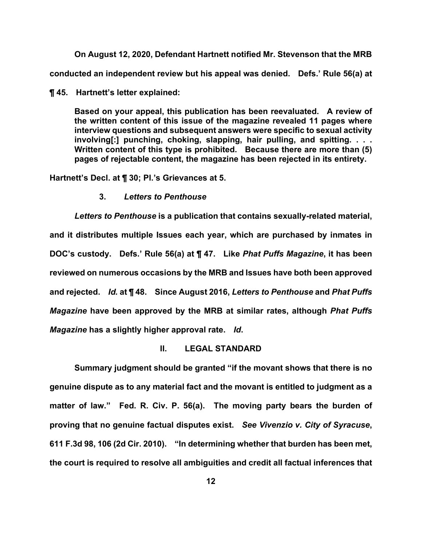**On August 12, 2020, Defendant Hartnett notified Mr. Stevenson that the MRB conducted an independent review but his appeal was denied. Defs.' Rule 56(a) at** 

**¶ 45. Hartnett's letter explained:** 

**Based on your appeal, this publication has been reevaluated. A review of the written content of this issue of the magazine revealed 11 pages where interview questions and subsequent answers were specific to sexual activity involving[:] punching, choking, slapping, hair pulling, and spitting. . . . Written content of this type is prohibited. Because there are more than (5) pages of rejectable content, the magazine has been rejected in its entirety.**

**Hartnett's Decl. at ¶ 30; Pl.'s Grievances at 5.** 

## **3.** *Letters to Penthouse*

*Letters to Penthouse* **is a publication that contains sexually-related material, and it distributes multiple Issues each year, which are purchased by inmates in DOC's custody. Defs.' Rule 56(a) at ¶ 47. Like** *Phat Puffs Magazine***, it has been reviewed on numerous occasions by the MRB and Issues have both been approved and rejected.** *Id.* **at ¶ 48. Since August 2016,** *Letters to Penthouse* **and** *Phat Puffs Magazine* **have been approved by the MRB at similar rates, although** *Phat Puffs Magazine* **has a slightly higher approval rate.** *Id***.** 

## **II. LEGAL STANDARD**

**Summary judgment should be granted "if the movant shows that there is no genuine dispute as to any material fact and the movant is entitled to judgment as a matter of law." Fed. R. Civ. P. 56(a). The moving party bears the burden of proving that no genuine factual disputes exist.** *See Vivenzio v. City of Syracuse***, 611 F.3d 98, 106 (2d Cir. 2010). "In determining whether that burden has been met, the court is required to resolve all ambiguities and credit all factual inferences that**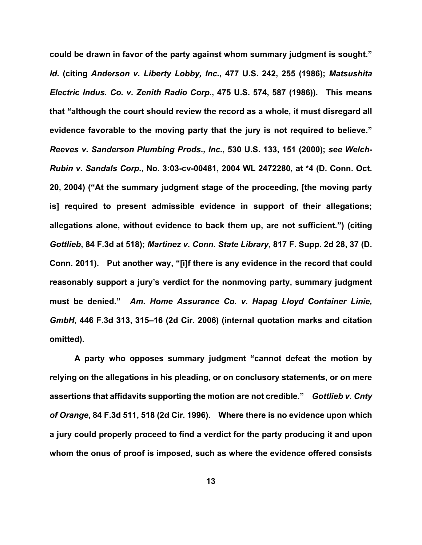**could be drawn in favor of the party against whom summary judgment is sought."**  *Id***. (citing** *Anderson v. Liberty Lobby, Inc.***, 477 U.S. 242, 255 (1986);** *Matsushita Electric Indus. Co. v. Zenith Radio Corp.***, 475 U.S. 574, 587 (1986)). This means that "although the court should review the record as a whole, it must disregard all evidence favorable to the moving party that the jury is not required to believe."**  *Reeves v. Sanderson Plumbing Prods., Inc.***, 530 U.S. 133, 151 (2000);** *see Welch-Rubin v. Sandals Corp.***, No. 3:03-cv-00481, 2004 WL 2472280, at \*4 (D. Conn. Oct. 20, 2004) ("At the summary judgment stage of the proceeding, [the moving party is] required to present admissible evidence in support of their allegations; allegations alone, without evidence to back them up, are not sufficient.") (citing**  *Gottlieb***, 84 F.3d at 518);** *Martinez v. Conn. State Library***, 817 F. Supp. 2d 28, 37 (D. Conn. 2011). Put another way, "[i]f there is any evidence in the record that could reasonably support a jury's verdict for the nonmoving party, summary judgment must be denied."** *Am. Home Assurance Co. v. Hapag Lloyd Container Linie, GmbH***, 446 F.3d 313, 315–16 (2d Cir. 2006) (internal quotation marks and citation omitted).** 

**A party who opposes summary judgment "cannot defeat the motion by relying on the allegations in his pleading, or on conclusory statements, or on mere assertions that affidavits supporting the motion are not credible."** *Gottlieb v. Cnty of Orange***, 84 F.3d 511, 518 (2d Cir. 1996). Where there is no evidence upon which a jury could properly proceed to find a verdict for the party producing it and upon whom the onus of proof is imposed, such as where the evidence offered consists**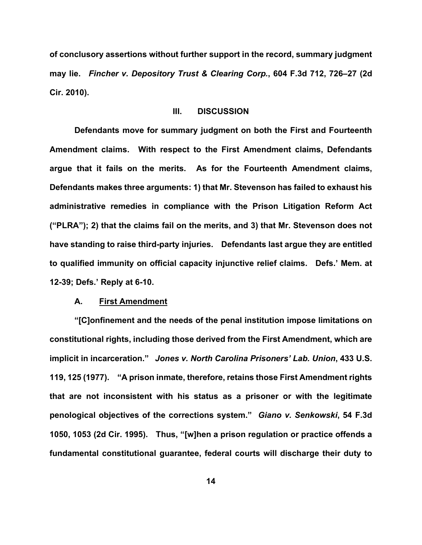**of conclusory assertions without further support in the record, summary judgment may lie.** *Fincher v. Depository Trust & Clearing Corp.***, 604 F.3d 712, 726–27 (2d Cir. 2010).** 

## **III. DISCUSSION**

**Defendants move for summary judgment on both the First and Fourteenth Amendment claims. With respect to the First Amendment claims, Defendants argue that it fails on the merits. As for the Fourteenth Amendment claims, Defendants makes three arguments: 1) that Mr. Stevenson has failed to exhaust his administrative remedies in compliance with the Prison Litigation Reform Act ("PLRA"); 2) that the claims fail on the merits, and 3) that Mr. Stevenson does not have standing to raise third-party injuries. Defendants last argue they are entitled to qualified immunity on official capacity injunctive relief claims. Defs.' Mem. at 12-39; Defs.' Reply at 6-10.** 

#### **A. First Amendment**

**"[C]onfinement and the needs of the penal institution impose limitations on constitutional rights, including those derived from the First Amendment, which are implicit in incarceration."** *Jones v. North Carolina Prisoners' Lab. Union***, 433 U.S. 119, 125 (1977). "A prison inmate, therefore, retains those First Amendment rights that are not inconsistent with his status as a prisoner or with the legitimate penological objectives of the corrections system."** *Giano v. Senkowski***, 54 F.3d 1050, 1053 (2d Cir. 1995). Thus, "[w]hen a prison regulation or practice offends a fundamental constitutional guarantee, federal courts will discharge their duty to**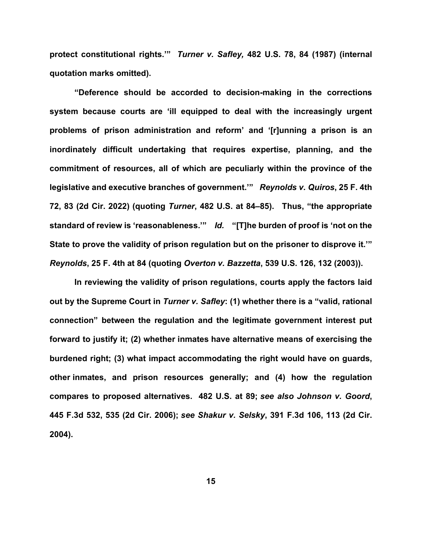**protect constitutional rights.'"** *Turner v. Safley,* **482 U.S. 78, 84 (1987) (internal quotation marks omitted).** 

**"Deference should be accorded to decision-making in the corrections system because courts are 'ill equipped to deal with the increasingly urgent problems of prison administration and reform' and '[r]unning a prison is an inordinately difficult undertaking that requires expertise, planning, and the commitment of resources, all of which are peculiarly within the province of the legislative and executive branches of government.'"** *Reynolds v. Quiros***, 25 F. 4th 72, 83 (2d Cir. 2022) (quoting** *Turner***, 482 U.S. at 84–85). Thus, "the appropriate standard of review is 'reasonableness.'"** *Id.* **"[T]he burden of proof is 'not on the State to prove the validity of prison regulation but on the prisoner to disprove it.'"**  *Reynolds***, 25 F. 4th at 84 (quoting** *Overton v. Bazzetta***, 539 U.S. 126, 132 (2003)).**

**In reviewing the validity of prison regulations, courts apply the factors laid out by the Supreme Court in** *Turner v. Safley***: (1) whether there is a "valid, rational connection" between the regulation and the legitimate government interest put forward to justify it; (2) whether inmates have alternative means of exercising the burdened right; (3) what impact accommodating the right would have on guards, other inmates, and prison resources generally; and (4) how the regulation compares to proposed alternatives. 482 U.S. at 89;** *see also Johnson v. Goord***, 445 F.3d 532, 535 (2d Cir. 2006);** *see Shakur v. Selsky***, 391 F.3d 106, 113 (2d Cir. 2004).**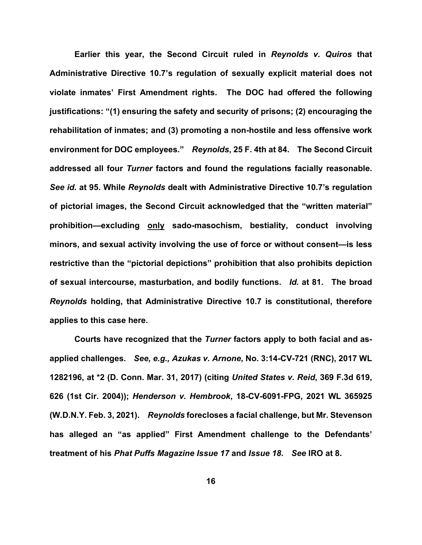**Earlier this year, the Second Circuit ruled in** *Reynolds v. Quiros* **that Administrative Directive 10.7's regulation of sexually explicit material does not violate inmates' First Amendment rights. The DOC had offered the following justifications: "(1) ensuring the safety and security of prisons; (2) encouraging the rehabilitation of inmates; and (3) promoting a non-hostile and less offensive work environment for DOC employees."** *Reynolds***, 25 F. 4th at 84. The Second Circuit addressed all four** *Turner* **factors and found the regulations facially reasonable.**  *See id.* **at 95. While** *Reynolds* **dealt with Administrative Directive 10.7's regulation of pictorial images, the Second Circuit acknowledged that the "written material" prohibition—excluding only sado-masochism, bestiality, conduct involving minors, and sexual activity involving the use of force or without consent—is less restrictive than the "pictorial depictions" prohibition that also prohibits depiction of sexual intercourse, masturbation, and bodily functions.** *Id.* **at 81. The broad**  *Reynolds* **holding, that Administrative Directive 10.7 is constitutional, therefore applies to this case here.** 

**Courts have recognized that the** *Turner* **factors apply to both facial and asapplied challenges.** *See, e.g., Azukas v. Arnone***, No. 3:14-CV-721 (RNC), 2017 WL 1282196, at \*2 (D. Conn. Mar. 31, 2017) (citing** *United States v. Reid***, 369 F.3d 619, 626 (1st Cir. 2004));** *Henderson v. Hembrook***, 18-CV-6091-FPG, 2021 WL 365925 (W.D.N.Y. Feb. 3, 2021).** *Reynolds* **forecloses a facial challenge, but Mr. Stevenson has alleged an "as applied" First Amendment challenge to the Defendants' treatment of his** *Phat Puffs Magazine Issue 17* **and** *Issue 18***.** *See* **IRO at 8.**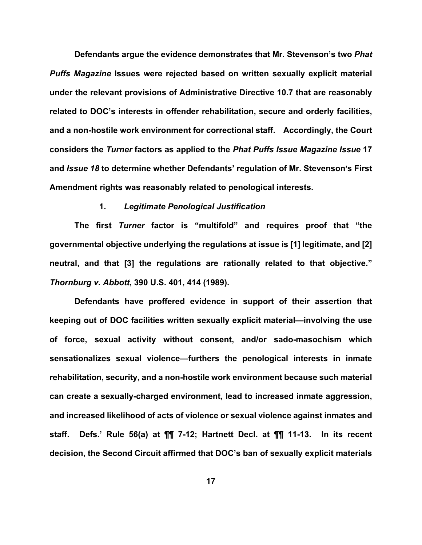**Defendants argue the evidence demonstrates that Mr. Stevenson's two** *Phat Puffs Magazine* **Issues were rejected based on written sexually explicit material under the relevant provisions of Administrative Directive 10.7 that are reasonably related to DOC's interests in offender rehabilitation, secure and orderly facilities, and a non-hostile work environment for correctional staff. Accordingly, the Court considers the** *Turner* **factors as applied to the** *Phat Puffs Issue Magazine Issue* **17** and *Issue 18* to determine whether Defendants' regulation of Mr. Stevenson's First **Amendment rights was reasonably related to penological interests.** 

## **1.** *Legitimate Penological Justification*

**The first** *Turner* **factor is "multifold" and requires proof that "the governmental objective underlying the regulations at issue is [1] legitimate, and [2] neutral, and that [3] the regulations are rationally related to that objective."**  *Thornburg v. Abbott***, 390 U.S. 401, 414 (1989).**

**Defendants have proffered evidence in support of their assertion that keeping out of DOC facilities written sexually explicit material—involving the use of force, sexual activity without consent, and/or sado-masochism which sensationalizes sexual violence—furthers the penological interests in inmate rehabilitation, security, and a non-hostile work environment because such material can create a sexually-charged environment, lead to increased inmate aggression, and increased likelihood of acts of violence or sexual violence against inmates and staff. Defs.' Rule 56(a) at ¶¶ 7-12; Hartnett Decl. at ¶¶ 11-13. In its recent decision, the Second Circuit affirmed that DOC's ban of sexually explicit materials**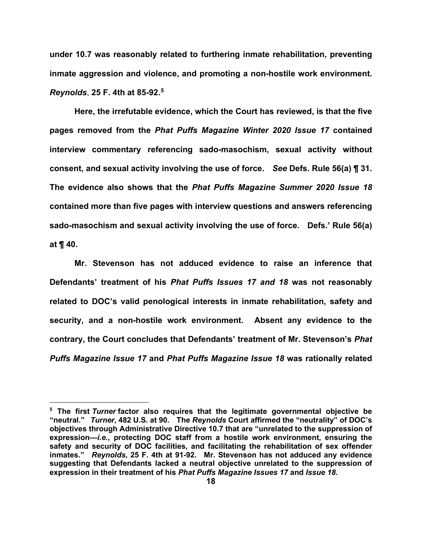**under 10.7 was reasonably related to furthering inmate rehabilitation, preventing inmate aggression and violence, and promoting a non-hostile work environment.**  *Reynolds*, **25 F. 4th at 85-92.[5](#page-17-0)** 

**Here, the irrefutable evidence, which the Court has reviewed, is that the five pages removed from the** *Phat Puffs Magazine Winter 2020 Issue 17* **contained interview commentary referencing sado-masochism, sexual activity without consent, and sexual activity involving the use of force.** *See* **Defs. Rule 56(a) ¶ 31. The evidence also shows that the** *Phat Puffs Magazine Summer 2020 Issue 18* **contained more than five pages with interview questions and answers referencing sado-masochism and sexual activity involving the use of force. Defs.' Rule 56(a) at ¶ 40.** 

**Mr. Stevenson has not adduced evidence to raise an inference that Defendants' treatment of his** *Phat Puffs Issues 17 and 18* **was not reasonably related to DOC's valid penological interests in inmate rehabilitation, safety and security, and a non-hostile work environment. Absent any evidence to the contrary, the Court concludes that Defendants' treatment of Mr. Stevenson's** *Phat Puffs Magazine Issue 17* **and** *Phat Puffs Magazine Issue 18* **was rationally related** 

<span id="page-17-0"></span>**<sup>5</sup> The first** *Turner* **factor also requires that the legitimate governmental objective be "neutral."** *Turner***, 482 U.S. at 90. The** *Reynolds* **Court affirmed the "neutrality" of DOC's objectives through Administrative Directive 10.7 that are "unrelated to the suppression of expression—***i.e.***, protecting DOC staff from a hostile work environment, ensuring the safety and security of DOC facilities, and facilitating the rehabilitation of sex offender inmates."** *Reynolds***, 25 F. 4th at 91-92. Mr. Stevenson has not adduced any evidence suggesting that Defendants lacked a neutral objective unrelated to the suppression of expression in their treatment of his** *Phat Puffs Magazine Issues 17* **and** *Issue 18***.**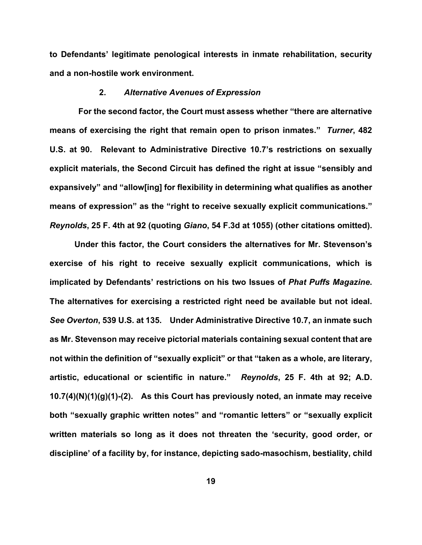**to Defendants' legitimate penological interests in inmate rehabilitation, security and a non-hostile work environment.** 

## **2.** *Alternative Avenues of Expression*

 **For the second factor, the Court must assess whether "there are alternative means of exercising the right that remain open to prison inmates."** *Turner***, 482 U.S. at 90. Relevant to Administrative Directive 10.7's restrictions on sexually explicit materials, the Second Circuit has defined the right at issue "sensibly and expansively" and "allow[ing] for flexibility in determining what qualifies as another means of expression" as the "right to receive sexually explicit communications."**  *Reynolds***, 25 F. 4th at 92 (quoting** *Giano***, 54 F.3d at 1055) (other citations omitted).** 

**Under this factor, the Court considers the alternatives for Mr. Stevenson's exercise of his right to receive sexually explicit communications, which is implicated by Defendants' restrictions on his two Issues of** *Phat Puffs Magazine***. The alternatives for exercising a restricted right need be available but not ideal.**  *See Overton***, 539 U.S. at 135. Under Administrative Directive 10.7, an inmate such as Mr. Stevenson may receive pictorial materials containing sexual content that are not within the definition of "sexually explicit" or that "taken as a whole, are literary, artistic, educational or scientific in nature."** *Reynolds***, 25 F. 4th at 92; A.D. 10.7(4)(N)(1)(g)(1)-(2). As this Court has previously noted, an inmate may receive both "sexually graphic written notes" and "romantic letters" or "sexually explicit written materials so long as it does not threaten the 'security, good order, or discipline' of a facility by, for instance, depicting sado-masochism, bestiality, child**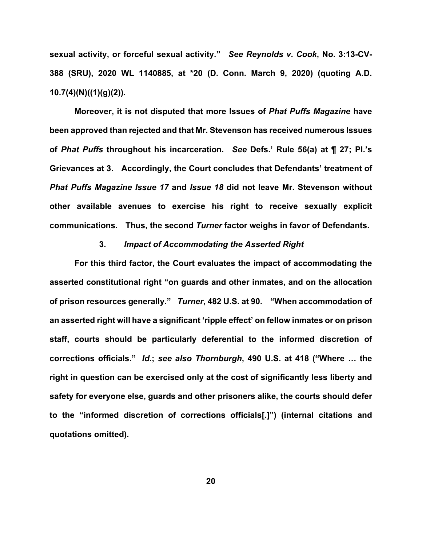**sexual activity, or forceful sexual activity."** *See Reynolds v. Cook***, No. 3:13-CV-388 (SRU), 2020 WL 1140885, at \*20 (D. Conn. March 9, 2020) (quoting A.D. 10.7(4)(N)((1)(g)(2)).** 

**Moreover, it is not disputed that more Issues of** *Phat Puffs Magazine* **have been approved than rejected and that Mr. Stevenson has received numerous Issues of** *Phat Puffs* **throughout his incarceration.** *See* **Defs.' Rule 56(a) at ¶ 27; Pl.'s Grievances at 3. Accordingly, the Court concludes that Defendants' treatment of**  *Phat Puffs Magazine Issue 17* **and** *Issue 18* **did not leave Mr. Stevenson without other available avenues to exercise his right to receive sexually explicit communications. Thus, the second** *Turner* **factor weighs in favor of Defendants.**

## **3.** *Impact of Accommodating the Asserted Right*

**For this third factor, the Court evaluates the impact of accommodating the asserted constitutional right "on guards and other inmates, and on the allocation of prison resources generally."** *Turner***, 482 U.S. at 90. "When accommodation of an asserted right will have a significant 'ripple effect' on fellow inmates or on prison staff, courts should be particularly deferential to the informed discretion of corrections officials."** *Id***.;** *see also Thornburgh***, 490 U.S. at 418 ("Where … the right in question can be exercised only at the cost of significantly less liberty and safety for everyone else, guards and other prisoners alike, the courts should defer to the "informed discretion of corrections officials[.]") (internal citations and quotations omitted).**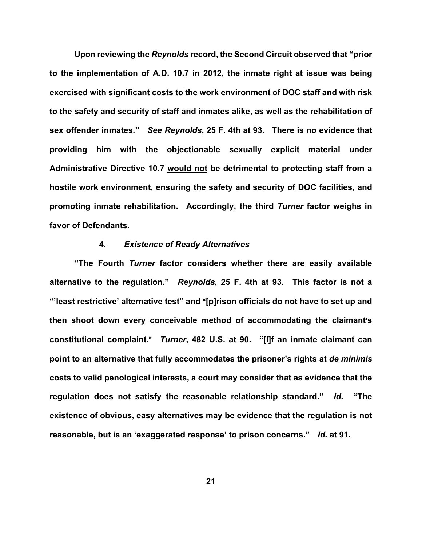**Upon reviewing the** *Reynolds* **record, the Second Circuit observed that "prior to the implementation of A.D. 10.7 in 2012, the inmate right at issue was being exercised with significant costs to the work environment of DOC staff and with risk to the safety and security of staff and inmates alike, as well as the rehabilitation of sex offender inmates."** *See Reynolds***, 25 F. 4th at 93. There is no evidence that providing him with the objectionable sexually explicit material under Administrative Directive 10.7 would not be detrimental to protecting staff from a hostile work environment, ensuring the safety and security of DOC facilities, and promoting inmate rehabilitation.****Accordingly, the third** *Turner* **factor weighs in favor of Defendants.**

## **4.** *Existence of Ready Alternatives*

**"The Fourth** *Turner* **factor considers whether there are easily available alternative to the regulation."** *Reynolds***, 25 F. 4th at 93. This factor is not a**  "'least restrictive' alternative test" and "[p]rison officials do not have to set up and then shoot down every conceivable method of accommodating the claimant's **constitutional complaint.**@*Turner***, 482 U.S. at 90. "[I]f an inmate claimant can point to an alternative that fully accommodates the prisoner's rights at** *de minimis* **costs to valid penological interests, a court may consider that as evidence that the regulation does not satisfy the reasonable relationship standard."** *Id.* **"The existence of obvious, easy alternatives may be evidence that the regulation is not reasonable, but is an 'exaggerated response' to prison concerns."** *Id.* **at 91.**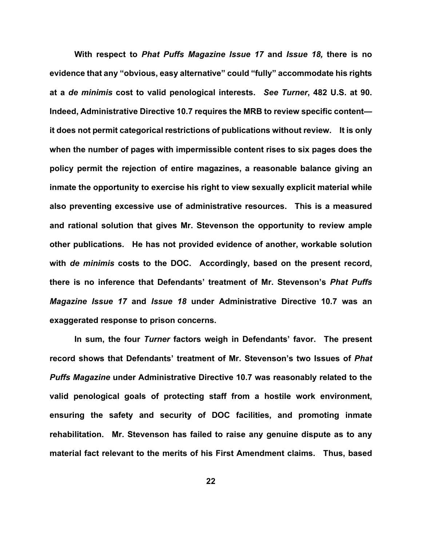**With respect to** *Phat Puffs Magazine Issue 17* **and** *Issue 18,* **there is no evidence that any "obvious, easy alternative" could "fully" accommodate his rights at a** *de minimis* **cost to valid penological interests.** *See Turner***, 482 U.S. at 90. Indeed, Administrative Directive 10.7 requires the MRB to review specific content it does not permit categorical restrictions of publications without review. It is only when the number of pages with impermissible content rises to six pages does the policy permit the rejection of entire magazines, a reasonable balance giving an inmate the opportunity to exercise his right to view sexually explicit material while also preventing excessive use of administrative resources. This is a measured and rational solution that gives Mr. Stevenson the opportunity to review ample other publications. He has not provided evidence of another, workable solution with** *de minimis* **costs to the DOC. Accordingly, based on the present record, there is no inference that Defendants' treatment of Mr. Stevenson's** *Phat Puffs Magazine Issue 17* **and** *Issue 18* **under Administrative Directive 10.7 was an exaggerated response to prison concerns.** 

**In sum, the four** *Turner* **factors weigh in Defendants' favor. The present record shows that Defendants' treatment of Mr. Stevenson's two Issues of** *Phat Puffs Magazine* **under Administrative Directive 10.7 was reasonably related to the valid penological goals of protecting staff from a hostile work environment, ensuring the safety and security of DOC facilities, and promoting inmate rehabilitation. Mr. Stevenson has failed to raise any genuine dispute as to any material fact relevant to the merits of his First Amendment claims. Thus, based**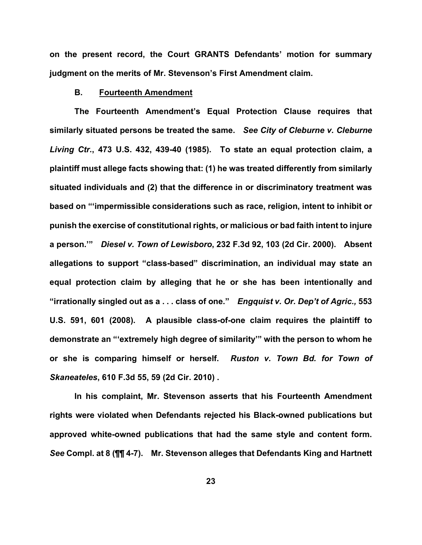**on the present record, the Court GRANTS Defendants' motion for summary judgment on the merits of Mr. Stevenson's First Amendment claim.** 

## **B. Fourteenth Amendment**

**The Fourteenth Amendment's Equal Protection Clause requires that similarly situated persons be treated the same.** *See City of Cleburne v. Cleburne Living Ctr.***, 473 U.S. 432, 439-40 (1985). To state an equal protection claim, a plaintiff must allege facts showing that: (1) he was treated differently from similarly situated individuals and (2) that the difference in or discriminatory treatment was based on "'impermissible considerations such as race, religion, intent to inhibit or punish the exercise of constitutional rights, or malicious or bad faith intent to injure a person.'"** *Diesel v. Town of Lewisboro***, 232 F.3d 92, 103 (2d Cir. 2000). Absent allegations to support "class-based" discrimination, an individual may state an equal protection claim by alleging that he or she has been intentionally and "irrationally singled out as a . . . class of one."** *Engquist v. Or. Dep't of Agric.,* **553 U.S. 591, 601 (2008). A plausible class-of-one claim requires the plaintiff to demonstrate an "'extremely high degree of similarity'" with the person to whom he or she is comparing himself or herself.** *Ruston v. Town Bd. for Town of Skaneateles***, 610 F.3d 55, 59 (2d Cir. 2010) .**

**In his complaint, Mr. Stevenson asserts that his Fourteenth Amendment rights were violated when Defendants rejected his Black-owned publications but approved white-owned publications that had the same style and content form.**  *See* **Compl. at 8 (¶¶ 4-7). Mr. Stevenson alleges that Defendants King and Hartnett**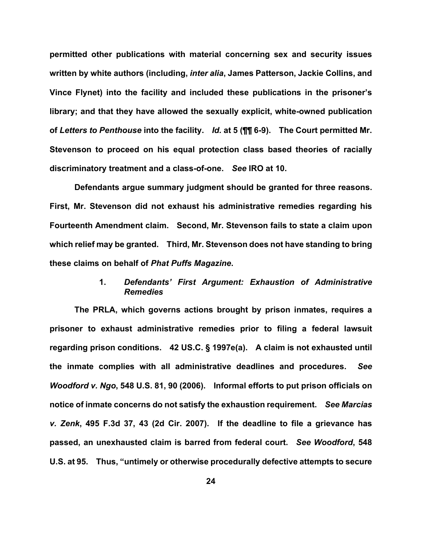**permitted other publications with material concerning sex and security issues written by white authors (including,** *inter alia***, James Patterson, Jackie Collins, and Vince Flynet) into the facility and included these publications in the prisoner's library; and that they have allowed the sexually explicit, white-owned publication of** *Letters to Penthouse* **into the facility.** *Id.* **at 5 (¶¶ 6-9). The Court permitted Mr. Stevenson to proceed on his equal protection class based theories of racially discriminatory treatment and a class-of-one.** *See* **IRO at 10.** 

**Defendants argue summary judgment should be granted for three reasons. First, Mr. Stevenson did not exhaust his administrative remedies regarding his Fourteenth Amendment claim. Second, Mr. Stevenson fails to state a claim upon which relief may be granted. Third, Mr. Stevenson does not have standing to bring these claims on behalf of** *Phat Puffs Magazine***.** 

## **1.** *Defendants' First Argument: Exhaustion of Administrative Remedies*

**The PRLA, which governs actions brought by prison inmates, requires a prisoner to exhaust administrative remedies prior to filing a federal lawsuit regarding prison conditions. 42 US.C. § 1997e(a). A claim is not exhausted until the inmate complies with all administrative deadlines and procedures.** *See Woodford v. Ngo***, 548 U.S. 81, 90 (2006). Informal efforts to put prison officials on notice of inmate concerns do not satisfy the exhaustion requirement.** *See Marcias v. Zenk***, 495 F.3d 37, 43 (2d Cir. 2007). If the deadline to file a grievance has passed, an unexhausted claim is barred from federal court.** *See Woodford***, 548 U.S. at 95. Thus, "untimely or otherwise procedurally defective attempts to secure**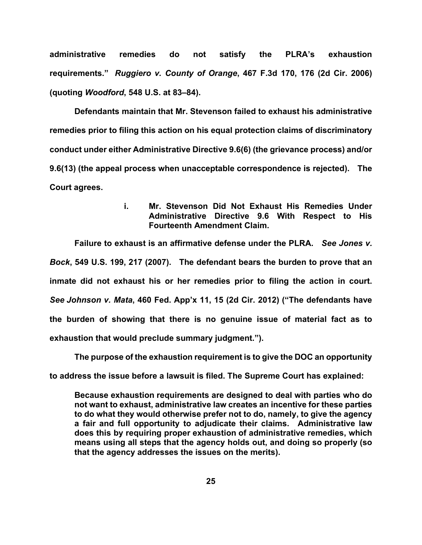**administrative remedies do not satisfy the PLRA's exhaustion requirements."** *Ruggiero v. County of Orange***, 467 F.3d 170, 176 (2d Cir. 2006) (quoting** *Woodford***, 548 U.S. at 83–84).**

**Defendants maintain that Mr. Stevenson failed to exhaust his administrative remedies prior to filing this action on his equal protection claims of discriminatory conduct under either Administrative Directive 9.6(6) (the grievance process) and/or 9.6(13) (the appeal process when unacceptable correspondence is rejected). The Court agrees.**

## **i. Mr. Stevenson Did Not Exhaust His Remedies Under Administrative Directive 9.6 With Respect to His Fourteenth Amendment Claim.**

**Failure to exhaust is an affirmative defense under the PLRA.** *See Jones v. Bock***, 549 U.S. 199, 217 (2007). The defendant bears the burden to prove that an inmate did not exhaust his or her remedies prior to filing the action in court.**  *See Johnson v. Mata***, 460 Fed. App'x 11, 15 (2d Cir. 2012) ("The defendants have the burden of showing that there is no genuine issue of material fact as to exhaustion that would preclude summary judgment.").** 

**The purpose of the exhaustion requirement is to give the DOC an opportunity to address the issue before a lawsuit is filed. The Supreme Court has explained:**

**Because exhaustion requirements are designed to deal with parties who do not want to exhaust, administrative law creates an incentive for these parties to do what they would otherwise prefer not to do, namely, to give the agency a fair and full opportunity to adjudicate their claims. Administrative law does this by requiring proper exhaustion of administrative remedies, which means using all steps that the agency holds out, and doing so properly (so that the agency addresses the issues on the merits).**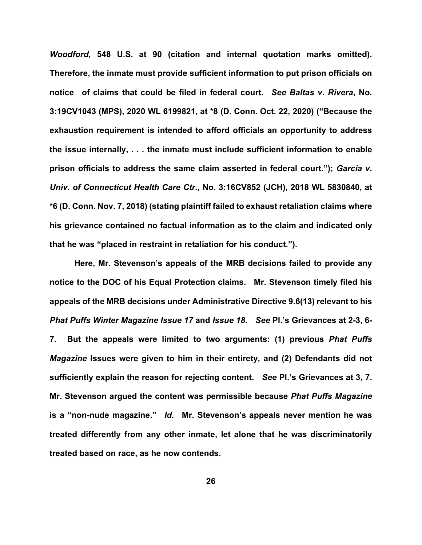*Woodford***, 548 U.S. at 90 (citation and internal quotation marks omitted). Therefore, the inmate must provide sufficient information to put prison officials on notice of claims that could be filed in federal court.** *See Baltas v. Rivera***, No. 3:19CV1043 (MPS), 2020 WL 6199821, at \*8 (D. Conn. Oct. 22, 2020) ("Because the exhaustion requirement is intended to afford officials an opportunity to address the issue internally, . . . the inmate must include sufficient information to enable prison officials to address the same claim asserted in federal court.");** *Garcia v. Univ. of Connecticut Health Care Ctr.***, No. 3:16CV852 (JCH), 2018 WL 5830840, at \*6 (D. Conn. Nov. 7, 2018) (stating plaintiff failed to exhaust retaliation claims where his grievance contained no factual information as to the claim and indicated only that he was "placed in restraint in retaliation for his conduct.").** 

**Here, Mr. Stevenson's appeals of the MRB decisions failed to provide any notice to the DOC of his Equal Protection claims. Mr. Stevenson timely filed his appeals of the MRB decisions under Administrative Directive 9.6(13) relevant to his**  *Phat Puffs Winter Magazine Issue 17* **and** *Issue 18***.** *See* **Pl.'s Grievances at 2-3, 6- 7. But the appeals were limited to two arguments: (1) previous** *Phat Puffs Magazine* **Issues were given to him in their entirety, and (2) Defendants did not sufficiently explain the reason for rejecting content.** *See* **Pl.'s Grievances at 3, 7. Mr. Stevenson argued the content was permissible because** *Phat Puffs Magazine*  **is a "non-nude magazine."** *Id.* **Mr. Stevenson's appeals never mention he was treated differently from any other inmate, let alone that he was discriminatorily treated based on race, as he now contends.**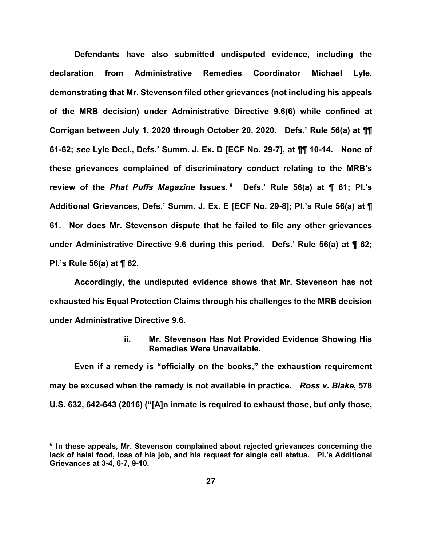**Defendants have also submitted undisputed evidence, including the declaration from Administrative Remedies Coordinator Michael Lyle, demonstrating that Mr. Stevenson filed other grievances (not including his appeals of the MRB decision) under Administrative Directive 9.6(6) while confined at Corrigan between July 1, 2020 through October 20, 2020. Defs.' Rule 56(a) at ¶¶ 61-62;** *see* **Lyle Decl., Defs.' Summ. J. Ex. D [ECF No. 29-7], at ¶¶ 10-14. None of these grievances complained of discriminatory conduct relating to the MRB's review of the** *Phat Puffs Magazine* **Issues. [6](#page-26-0) Defs.' Rule 56(a) at ¶ 61; Pl.'s Additional Grievances, Defs.' Summ. J. Ex. E [ECF No. 29-8]; Pl.'s Rule 56(a) at ¶ 61. Nor does Mr. Stevenson dispute that he failed to file any other grievances under Administrative Directive 9.6 during this period. Defs.' Rule 56(a) at ¶ 62; Pl.'s Rule 56(a) at ¶ 62.** 

**Accordingly, the undisputed evidence shows that Mr. Stevenson has not exhausted his Equal Protection Claims through his challenges to the MRB decision under Administrative Directive 9.6.**

> **ii. Mr. Stevenson Has Not Provided Evidence Showing His Remedies Were Unavailable.**

**Even if a remedy is "officially on the books," the exhaustion requirement may be excused when the remedy is not available in practice.** *Ross v. Blake***, 578 U.S. 632, 642-643 (2016) ("[A]n inmate is required to exhaust those, but only those,** 

<span id="page-26-0"></span>**<sup>6</sup> In these appeals, Mr. Stevenson complained about rejected grievances concerning the lack of halal food, loss of his job, and his request for single cell status. Pl.'s Additional Grievances at 3-4, 6-7, 9-10.**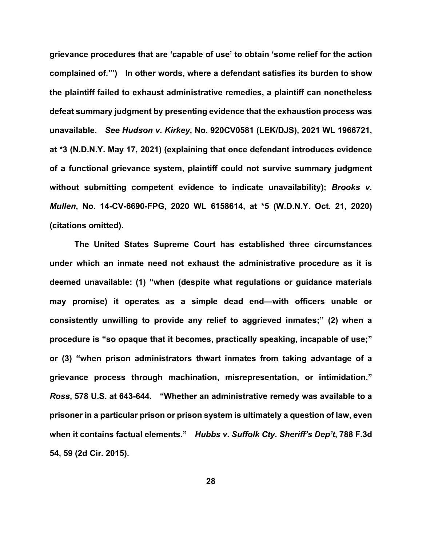**grievance procedures that are 'capable of use' to obtain 'some relief for the action complained of.'") In other words, where a defendant satisfies its burden to show the plaintiff failed to exhaust administrative remedies, a plaintiff can nonetheless defeat summary judgment by presenting evidence that the exhaustion process was unavailable.** *See Hudson v. Kirkey***, No. 920CV0581 (LEK/DJS), 2021 WL 1966721, at \*3 (N.D.N.Y. May 17, 2021) (explaining that once defendant introduces evidence of a functional grievance system, plaintiff could not survive summary judgment without submitting competent evidence to indicate unavailability);** *Brooks v. Mullen***, No. 14-CV-6690-FPG, 2020 WL 6158614, at \*5 (W.D.N.Y. Oct. 21, 2020) (citations omitted).** 

**The United States Supreme Court has established three circumstances under which an inmate need not exhaust the administrative procedure as it is deemed unavailable: (1) "when (despite what regulations or guidance materials may promise) it operates as a simple dead end—with officers unable or consistently unwilling to provide any relief to aggrieved inmates;" (2) when a procedure is "so opaque that it becomes, practically speaking, incapable of use;" or (3) "when prison administrators thwart inmates from taking advantage of a grievance process through machination, misrepresentation, or intimidation."**  *Ross***, 578 U.S. at 643-644. "Whether an administrative remedy was available to a prisoner in a particular prison or prison system is ultimately a question of law, even when it contains factual elements."** *Hubbs v. Suffolk Cty. Sheriff's Dep't***, 788 F.3d 54, 59 (2d Cir. 2015).**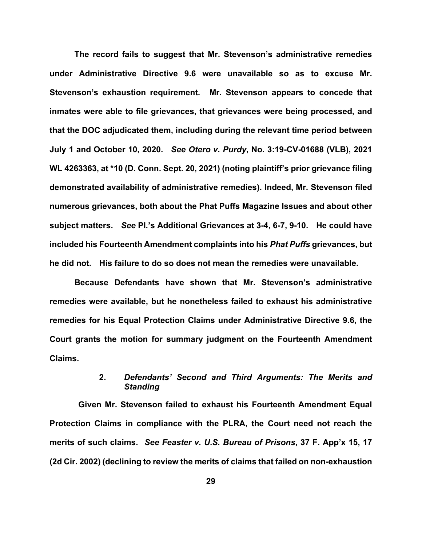**The record fails to suggest that Mr. Stevenson's administrative remedies under Administrative Directive 9.6 were unavailable so as to excuse Mr. Stevenson's exhaustion requirement***.* **Mr. Stevenson appears to concede that inmates were able to file grievances, that grievances were being processed, and that the DOC adjudicated them, including during the relevant time period between July 1 and October 10, 2020.** *See Otero v. Purdy***, No. 3:19-CV-01688 (VLB), 2021 WL 4263363, at \*10 (D. Conn. Sept. 20, 2021) (noting plaintiff's prior grievance filing demonstrated availability of administrative remedies). Indeed, Mr. Stevenson filed numerous grievances, both about the Phat Puffs Magazine Issues and about other subject matters.** *See* **Pl.'s Additional Grievances at 3-4, 6-7, 9-10. He could have included his Fourteenth Amendment complaints into his** *Phat Puffs* **grievances, but he did not. His failure to do so does not mean the remedies were unavailable.** 

**Because Defendants have shown that Mr. Stevenson's administrative remedies were available, but he nonetheless failed to exhaust his administrative remedies for his Equal Protection Claims under Administrative Directive 9.6, the Court grants the motion for summary judgment on the Fourteenth Amendment Claims.** 

# **2.** *Defendants' Second and Third Arguments: The Merits and Standing*

 **Given Mr. Stevenson failed to exhaust his Fourteenth Amendment Equal Protection Claims in compliance with the PLRA, the Court need not reach the merits of such claims.** *See Feaster v. U.S. Bureau of Prisons***, 37 F. App'x 15, 17 (2d Cir. 2002) (declining to review the merits of claims that failed on non-exhaustion**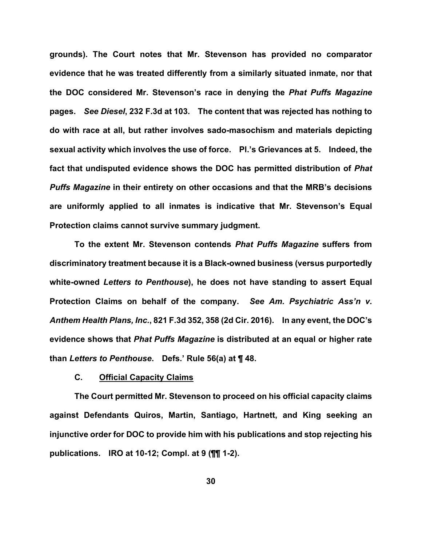**grounds). The Court notes that Mr. Stevenson has provided no comparator evidence that he was treated differently from a similarly situated inmate, nor that the DOC considered Mr. Stevenson's race in denying the** *Phat Puffs Magazine* **pages.** *See Diesel***, 232 F.3d at 103. The content that was rejected has nothing to do with race at all, but rather involves sado-masochism and materials depicting sexual activity which involves the use of force. Pl.'s Grievances at 5. Indeed, the fact that undisputed evidence shows the DOC has permitted distribution of** *Phat Puffs Magazine* **in their entirety on other occasions and that the MRB's decisions are uniformly applied to all inmates is indicative that Mr. Stevenson's Equal Protection claims cannot survive summary judgment.** 

**To the extent Mr. Stevenson contends** *Phat Puffs Magazine* **suffers from discriminatory treatment because it is a Black-owned business (versus purportedly white-owned** *Letters to Penthouse***), he does not have standing to assert Equal Protection Claims on behalf of the company.** *See Am. Psychiatric Ass'n v. Anthem Health Plans, Inc.***, 821 F.3d 352, 358 (2d Cir. 2016). In any event, the DOC's evidence shows that** *Phat Puffs Magazine* **is distributed at an equal or higher rate than** *Letters to Penthouse***. Defs.' Rule 56(a) at ¶ 48.**

## **C. Official Capacity Claims**

**The Court permitted Mr. Stevenson to proceed on his official capacity claims against Defendants Quiros, Martin, Santiago, Hartnett, and King seeking an injunctive order for DOC to provide him with his publications and stop rejecting his publications. IRO at 10-12; Compl. at 9 (¶¶ 1-2).**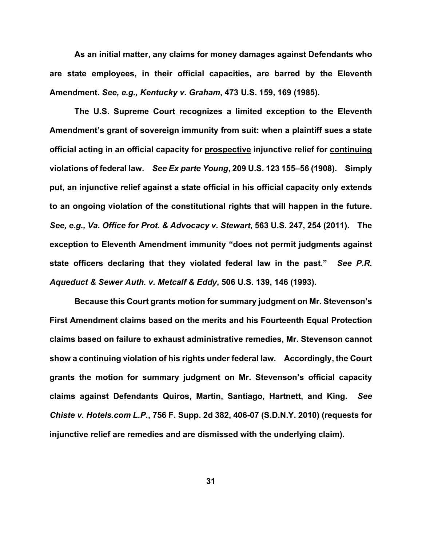**As an initial matter, any claims for money damages against Defendants who are state employees, in their official capacities, are barred by the Eleventh Amendment.** *See, e.g., Kentucky v. Graham***, 473 U.S. 159, 169 (1985).** 

**The U.S. Supreme Court recognizes a limited exception to the Eleventh Amendment's grant of sovereign immunity from suit: when a plaintiff sues a state official acting in an official capacity for prospective injunctive relief for continuing violations of federal law.** *See Ex parte Young***, 209 U.S. 123 155–56 (1908). Simply put, an injunctive relief against a state official in his official capacity only extends to an ongoing violation of the constitutional rights that will happen in the future.**  *See, e.g., Va. Office for Prot. & Advocacy v. Stewart***, 563 U.S. 247, 254 (2011). The exception to Eleventh Amendment immunity "does not permit judgments against state officers declaring that they violated federal law in the past***.***"** *See P.R. Aqueduct & Sewer Auth. v. Metcalf & Eddy***, [506 U.S. 139, 146 \(](https://www.westlaw.com/Link/Document/FullText?rs=USCLink&vr=3.0&findType=Y&cite=506%2Bu.s.%2B139&refPos=146&refPosType=s&clientid=USCourts)1993).** 

**Because this Court grants motion for summary judgment on Mr. Stevenson's First Amendment claims based on the merits and his Fourteenth Equal Protection claims based on failure to exhaust administrative remedies, Mr. Stevenson cannot show a continuing violation of his rights under federal law. Accordingly, the Court grants the motion for summary judgment on Mr. Stevenson's official capacity claims against Defendants Quiros, Martin, Santiago, Hartnett, and King.** *See Chiste v. Hotels.com L.P.***, 756 F. Supp. 2d 382, 406-07 (S.D.N.Y. 2010) (requests for injunctive relief are remedies and are dismissed with the underlying claim).**